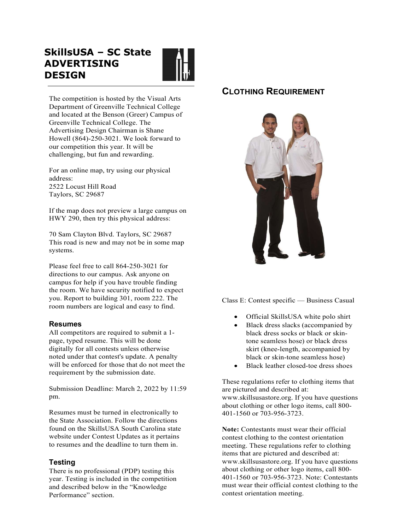# SkillsUSA – SC State ADVERTISING **DESIGN**



The competition is hosted by the Visual Arts Department of Greenville Technical College and located at the Benson (Greer) Campus of Greenville Technical College. The Advertising Design Chairman is Shane Howell (864)-250-3021. We look forward to our competition this year. It will be challenging, but fun and rewarding.

 For an online map, try using our physical address: 2522 Locust Hill Road Taylors, SC 29687

 If the map does not preview a large campus on HWY 290, then try this physical address:

70 Sam Clayton Blvd. Taylors, SC 29687 This road is new and may not be in some map systems.

 Please feel free to call 864-250-3021 for directions to our campus. Ask anyone on campus for help if you have trouble finding the room. We have security notified to expect you. Report to building 301, room 222. The room numbers are logical and easy to find.

#### Resumes

All competitors are required to submit a 1 page, typed resume. This will be done digitally for all contests unless otherwise noted under that contest's update. A penalty will be enforced for those that do not meet the requirement by the submission date.

Submission Deadline: March 2, 2022 by 11:59 pm.

Resumes must be turned in electronically to the State Association. Follow the directions found on the SkillsUSA South Carolina state website under Contest Updates as it pertains to resumes and the deadline to turn them in.

### Testing

There is no professional (PDP) testing this year. Testing is included in the competition and described below in the "Knowledge Performance" section.

## CLOTHING REQUIREMENT



Class E: Contest specific — Business Casual

- Official SkillsUSA white polo shirt
- Black dress slacks (accompanied by black dress socks or black or skintone seamless hose) or black dress skirt (knee-length, accompanied by black or skin-tone seamless hose)
- Black leather closed-toe dress shoes

These regulations refer to clothing items that are pictured and described at: www.skillsusastore.org. If you have questions about clothing or other logo items, call 800- 401-1560 or 703-956-3723.

Note: Contestants must wear their official contest clothing to the contest orientation meeting. These regulations refer to clothing items that are pictured and described at: www.skillsusastore.org. If you have questions about clothing or other logo items, call 800- 401-1560 or 703-956-3723. Note: Contestants must wear their official contest clothing to the contest orientation meeting.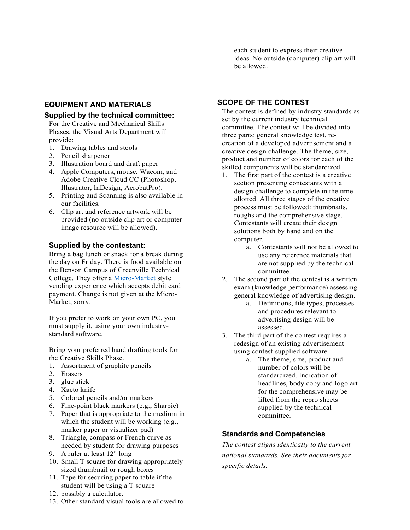### EQUIPMENT AND MATERIALS

#### Supplied by the technical committee:

For the Creative and Mechanical Skills Phases, the Visual Arts Department will provide:

- 1. Drawing tables and stools
- 2. Pencil sharpener
- 3. Illustration board and draft paper
- 4. Apple Computers, mouse, Wacom, and Adobe Creative Cloud CC (Photoshop, Illustrator, InDesign, AcrobatPro).
- 5. Printing and Scanning is also available in our facilities.
- 6. Clip art and reference artwork will be provided (no outside clip art or computer image resource will be allowed).

#### Supplied by the contestant:

Bring a bag lunch or snack for a break during the day on Friday. There is food available on the Benson Campus of Greenville Technical College. They offer a Micro-Market style vending experience which accepts debit card payment. Change is not given at the Micro-Market, sorry.

If you prefer to work on your own PC, you must supply it, using your own industrystandard software.

Bring your preferred hand drafting tools for the Creative Skills Phase.

- 1. Assortment of graphite pencils
- 2. Erasers
- 3. glue stick
- 4. Xacto knife
- 5. Colored pencils and/or markers
- 6. Fine-point black markers (e.g., Sharpie)
- 7. Paper that is appropriate to the medium in which the student will be working (e.g., marker paper or visualizer pad)
- 8. Triangle, compass or French curve as needed by student for drawing purposes
- 9. A ruler at least 12" long
- 10. Small T square for drawing appropriately sized thumbnail or rough boxes
- 11. Tape for securing paper to table if the student will be using a T square
- 12. possibly a calculator.
- 13. Other standard visual tools are allowed to

each student to express their creative ideas. No outside (computer) clip art will be allowed.

#### SCOPE OF THE CONTEST

The contest is defined by industry standards as set by the current industry technical committee. The contest will be divided into three parts: general knowledge test, recreation of a developed advertisement and a creative design challenge. The theme, size, product and number of colors for each of the skilled components will be standardized.

- 1. The first part of the contest is a creative section presenting contestants with a design challenge to complete in the time allotted. All three stages of the creative process must be followed: thumbnails, roughs and the comprehensive stage. Contestants will create their design solutions both by hand and on the computer.
	- a. Contestants will not be allowed to use any reference materials that are not supplied by the technical committee.
- 2. The second part of the contest is a written exam (knowledge performance) assessing general knowledge of advertising design.
	- a. Definitions, file types, processes and procedures relevant to advertising design will be assessed.
- 3. The third part of the contest requires a redesign of an existing advertisement using contest-supplied software.
	- a. The theme, size, product and number of colors will be standardized. Indication of headlines, body copy and logo art for the comprehensive may be lifted from the repro sheets supplied by the technical committee.

#### Standards and Competencies

The contest aligns identically to the current national standards. See their documents for specific details.